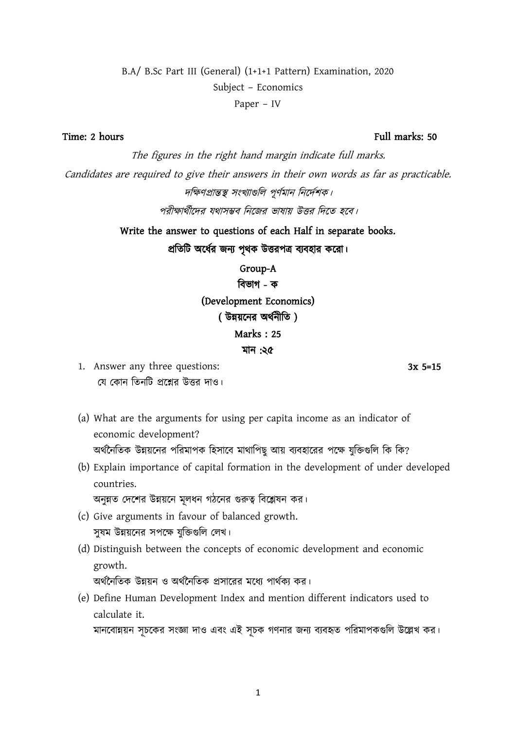# 1

## B.A/ B.Sc Part III (General) (1+1+1 Pattern) Examination, 2020 Subject – Economics Paper – IV

The figures in the right hand margin indicate full marks. Candidates are required to give their answers in their own words as far as practicable. দক্ষিণপ্ৰান্তস্থ সংখ্যাগুলি পূৰ্ণমান নিৰ্দেশক। পরীক্ষার্থীদের যথাসম্ভব নিজের ভাষায় উত্তর দিতে হবে।

> Write the answer to questions of each Half in separate books. প্রতিটি অর্ধের জন্য পৃথক উত্তরপত্র ব্যবহার করো।

> > Group-A বিভাগ - ক (Development Economics) ( উন্নয়নের অর্থনীতি) Marks : 25 মান :২৫

- 1. Answer any three questions: 3x 5=15 যে কোন তিনটি প্রশ্নের উত্তর দাও।
- (a) What are the arguments for using per capita income as an indicator of economic development? অর্থনৈতিক উন্নয়নের পরিমাপক হিসাবে মাথাপিছ আয় ব্যবহারের পক্ষে যক্তিগুলি কি কি?
- (b) Explain importance of capital formation in the development of under developed countries.

অনুন্নত দেশের উন্নয়নে মূলধন গঠনের গুরুত্ব বিশ্লেষন কর।

- (c) Give arguments in favour of balanced growth. সুষম উন্নয়নের সপক্ষে যুক্তিগুলি লেখ।
- (d) Distinguish between the concepts of economic development and economic growth.

অর্থনৈতিক উন্নয়ন ও অর্থনৈতিক প্রসারের মধ্যে পার্থক্য কর।

(e) Define Human Development Index and mention different indicators used to calculate it.

মানবোন্নয়ন সূচকের সংজ্ঞা দাও এবং এই সূচক গণনার জন্য ব্যবহৃত পরিমাপকগুলি উল্লেখ কর।

#### Time: 2 hours Full marks: 50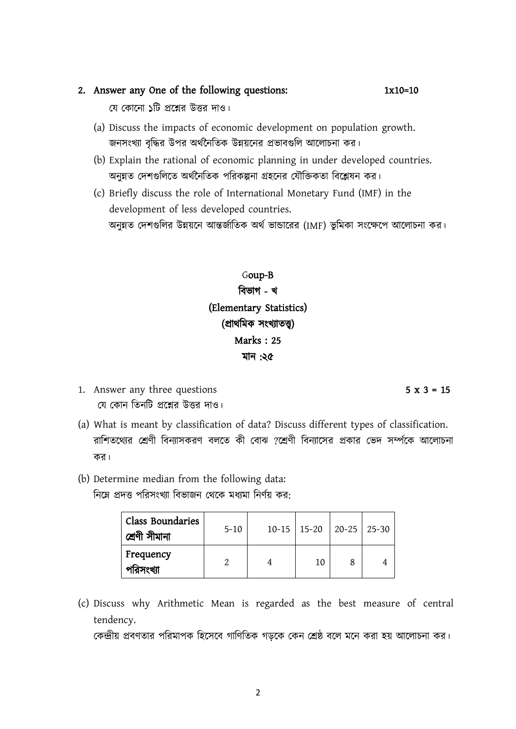### 2. Answer any One of the following questions: 1x10=10

যে কোনো ১টি প্রশ্নের উত্তর দাও।

- (a) Discuss the impacts of economic development on population growth. জনসংখ্যা বৃদ্ধির উপর অর্থনৈতিক উন্নয়নের প্রভাবগুলি আলোচনা কর।
- (b) Explain the rational of economic planning in under developed countries. অনন্নত দেশগুলিতে অর্থনৈতিক পরিকল্পনা গ্রহনের যৌক্তিকতা বিশ্লেষন কর।
- (c) Briefly discuss the role of International Monetary Fund (IMF) in the development of less developed countries. অনুন্নত দেশগুলির উন্নয়নে আন্তর্জাতিক অর্থ ভান্ডারের (IMF) ভুমিকা সংক্ষেপে আলোচনা কর।

Goup-B বিভাগ - খ (Elementary Statistics) (প্ৰাথমিক সংখ্যাতত্ত্ব) Marks : 25 মান :২৫

- 1. Answer any three questions  $5 \times 3 = 15$ যে কোন তিনটি প্রশ্নের উত্তর দাও।
- (a) What is meant by classification of data? Discuss different types of classification. রাশিতথ্যের শ্রেণী বিন্যাসকরণ বলতে কী বোঝ ?শ্রেণী বিন্যাসের প্রকার ভেদ সর্ম্পকে আলোচনা কর।
- (b) Determine median from the following data: নিম্নে প্রদত্ত পরিসংখ্যা বিভাজন থেকে মধ্যমা নির্ণয় কর:

Class Boundaries

Frequency

|           | (c) Discuss why Arithmetic Mean is regarded as the best measure of central |  |  |  |  |  |
|-----------|----------------------------------------------------------------------------|--|--|--|--|--|
| tendency. |                                                                            |  |  |  |  |  |

সামত চলা নামানত বিদ্যা চ. 5-10 | 10-15 | 15-20 | 20-25 | 25-30

পরিসংখ্যা |  $2$  |  $4$  |  $10$ |  $8$ |  $4$ 

কেন্দ্রীয় প্রবণতার পরিমাপক হিসেবে গাণিতিক গডকে কেন শ্রেষ্ঠ বলে মনে করা হয় আলোচনা কর।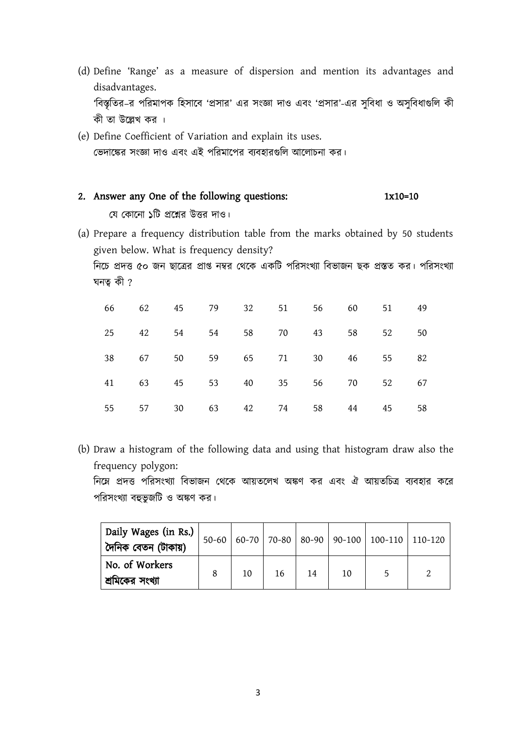- (d) Define 'Range' as a measure of dispersion and mention its advantages and disadvantages. 'বিস্তৃতির–র পরিমাপক হিসাবে 'প্রসার' এর সংজ্ঞা দাও এবং 'প্রসার'-এর সুবিধা ও অসুবিধাগুলি কী কী তা উল্লেখ কর ।
- (e) Define Coefficient of Variation and explain its uses. ভেদাঙ্কের সংজ্ঞা দাও এবং এই পরিমাপের ব্যবহারগুলি আলোচনা কর।

### 2. Answer any One of the following questions: 1x10=10

যে কোনো ১টি প্রশ্নের উত্তর দাও।

(a) Prepare a frequency distribution table from the marks obtained by 50 students given below. What is frequency density?

নিচে প্রদত্ত ৫০ জন ছাত্রের প্রাপ্ত নম্বর থেকে একটি পরিসংখ্যা বিভাজন ছক প্রস্তত কর। পরিসংখ্যা ঘনতু $\hat{\varphi}$  ?

|    |    |    |       |       |    | 66 62 45 79 32 51 56 60 |    | 51 | 49 |
|----|----|----|-------|-------|----|-------------------------|----|----|----|
| 25 | 42 | 54 | 54    | 58    | 70 | 43                      | 58 | 52 | 50 |
| 38 | 67 | 50 |       | 59 65 | 71 | 30                      | 46 | 55 | 82 |
| 41 | 63 |    | 45 53 | 40    |    | 35 56                   | 70 | 52 | 67 |
| 55 | 57 | 30 | 63    | 42    | 74 | 58                      | 44 | 45 | 58 |

(b) Draw a histogram of the following data and using that histogram draw also the frequency polygon:

নিমে প্রদত্ত পরিসংখ্যা বিভাজন থেকে আয়তলেখ অঙ্কণ কর এবং ঐ আয়তচিত্র ব্যবহার করে পরিসংখ্যা বহুভুজটি ও অঙ্কণ কর।

| Daily Wages (in Rs.)<br>  দৈনিক বেতন (টাকায়) |    |    |    |    | 50-60 60-70 70-80 80-90 90-100 100-110 110-120 |  |
|-----------------------------------------------|----|----|----|----|------------------------------------------------|--|
| No. of Workers<br>াশ্রমিকের সংখ্যা            | 10 | 16 | 14 | 10 |                                                |  |